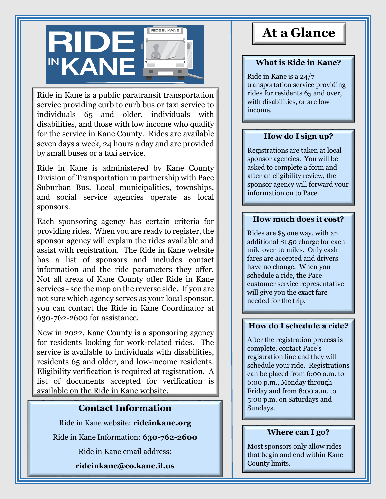

Ride in Kane is a public paratransit transportation service providing curb to curb bus or taxi service to individuals 65 and older, individuals with disabilities, and those with low income who qualify for the service in Kane County. Rides are available seven days a week, 24 hours a day and are provided by small buses or a taxi service.

Ride in Kane is administered by Kane County Division of Transportation in partnership with Pace Suburban Bus. Local municipalities, townships, and social service agencies operate as local sponsors.

Each sponsoring agency has certain criteria for providing rides. When you are ready to register, the sponsor agency will explain the rides available and assist with registration. The Ride in Kane website has a list of sponsors and includes contact information and the ride parameters they offer. Not all areas of Kane County offer Ride in Kane services - see the map on the reverse side. If you are not sure which agency serves as your local sponsor, you can contact the Ride in Kane Coordinator at 630-762-2600 for assistance.

New in 2022, Kane County is a sponsoring agency for residents looking for work-related rides. The service is available to individuals with disabilities, residents 65 and older, and low-income residents. Eligibility verification is required at registration. A list of documents accepted for verification is available on the Ride in Kane website.

## **Contact Information**

Ride in Kane website: **rideinkane.org**

Ride in Kane Information: **630-762-2600**

Ride in Kane email address:

**rideinkane@co.kane.il.us**

# **At a Glance**

### **What is Ride in Kane?**

Ride in Kane is a 24/7 transportation service providing rides for residents 65 and over, with disabilities, or are low income.

#### **How do I sign up?**

Registrations are taken at local sponsor agencies. You will be asked to complete a form and after an eligibility review, the sponsor agency will forward your information on to Pace.

#### **How much does it cost?**

Rides are \$5 one way, with an additional \$1.50 charge for each mile over 10 miles. Only cash fares are accepted and drivers have no change. When you schedule a ride, the Pace customer service representative will give you the exact fare needed for the trip.

#### **How do I schedule a ride?**

After the registration process is complete, contact Pace's registration line and they will schedule your ride. Registrations can be placed from 6:00 a.m. to 6:00 p.m., Monday through Friday and from 8:00 a.m. to 5:00 p.m. on Saturdays and Sundays.

#### **Where can I go?**

Most sponsors only allow rides that begin and end within Kane County limits.